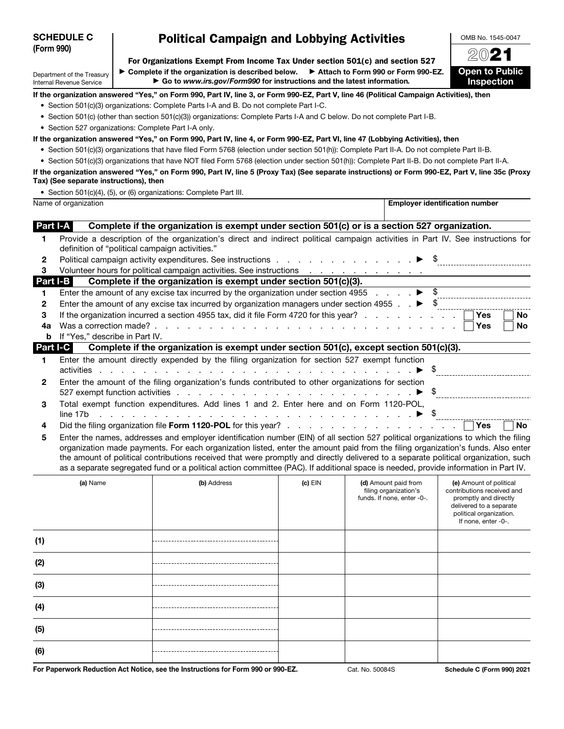# Political Campaign and Lobbying Activities

For Organizations Exempt From Income Tax Under section 501(c) and section 527

Department of the Treasury Internal Revenue Service

▶ Complete if the organization is described below. ▶ Attach to Form 990 or Form 990-EZ. ▶ Go to *www.irs.gov/Form990* for instructions and the latest information*.*

2021 **Open to Public Inspection** 

OMB No. 1545-0047

If the organization answered "Yes," on Form 990, Part IV, line 3, or Form 990-EZ, Part V, line 46 (Political Campaign Activities), then

- Section 501(c)(3) organizations: Complete Parts I-A and B. Do not complete Part I-C.
- Section 501(c) (other than section 501(c)(3)) organizations: Complete Parts I-A and C below. Do not complete Part I-B.
- Section 527 organizations: Complete Part I-A only.

If the organization answered "Yes," on Form 990, Part IV, line 4, or Form 990-EZ, Part VI, line 47 (Lobbying Activities), then

- Section 501(c)(3) organizations that have filed Form 5768 (election under section 501(h)): Complete Part II-A. Do not complete Part II-B.
- Section 501(c)(3) organizations that have NOT filed Form 5768 (election under section 501(h)): Complete Part II-B. Do not complete Part II-A.

If the organization answered "Yes," on Form 990, Part IV, line 5 (Proxy Tax) (See separate instructions) or Form 990-EZ, Part V, line 35c (Proxy Tax) (See separate instructions), then

• Section 501(c)(4), (5), or (6) organizations: Complete Part III.

|              | Name of organization                                                                                                                                                             | <b>Employer identification number</b> |
|--------------|----------------------------------------------------------------------------------------------------------------------------------------------------------------------------------|---------------------------------------|
| Part I-A     | Complete if the organization is exempt under section 501(c) or is a section 527 organization.                                                                                    |                                       |
| 1.           | Provide a description of the organization's direct and indirect political campaign activities in Part IV. See instructions for<br>definition of "political campaign activities." |                                       |
| 2            | Political campaign activity expenditures. See instructions $\ldots$ , $\ldots$ , $\ldots$ , $\blacktriangleright$ \$                                                             |                                       |
| 3            | Volunteer hours for political campaign activities. See instructions                                                                                                              |                                       |
| Part I-B     | Complete if the organization is exempt under section 501(c)(3).                                                                                                                  |                                       |
|              | Enter the amount of any excise tax incurred by the organization under section 4955 $\ldots$ $\blacktriangleright$ \$                                                             |                                       |
| 2            | Enter the amount of any excise tax incurred by organization managers under section 4955 $\ldots$ $\blacktriangleright$ \$                                                        |                                       |
| 3            | If the organization incurred a section 4955 tax, did it file Form 4720 for this year?                                                                                            | Yes<br>No.                            |
| 4a           |                                                                                                                                                                                  | No<br>Yes                             |
| b            | If "Yes," describe in Part IV.                                                                                                                                                   |                                       |
| Part I-C     | Complete if the organization is exempt under section 501(c), except section 501(c)(3).                                                                                           |                                       |
| 1.           | Enter the amount directly expended by the filing organization for section 527 exempt function<br>activities                                                                      |                                       |
| $\mathbf{2}$ | Enter the amount of the filing organization's funds contributed to other organizations for section                                                                               |                                       |
| 3            | Total exempt function expenditures. Add lines 1 and 2. Enter here and on Form 1120-POL,                                                                                          |                                       |
| 4            |                                                                                                                                                                                  | <b>No</b>                             |
| 5            | Enter the names, addresses and employer identification number (EIN) of all section 527 political organizations to which the filing                                               |                                       |

organization made payments. For each organization listed, enter the amount paid from the filing organization's funds. Also enter the amount of political contributions received that were promptly and directly delivered to a separate political organization, such as a separate segregated fund or a political action committee (PAC). If additional space is needed, provide information in Part IV.

| (a) Name | (b) Address | $(c)$ EIN | (d) Amount paid from<br>filing organization's<br>funds. If none, enter -0-. | (e) Amount of political<br>contributions received and<br>promptly and directly<br>delivered to a separate<br>political organization.<br>If none, enter -0-. |
|----------|-------------|-----------|-----------------------------------------------------------------------------|-------------------------------------------------------------------------------------------------------------------------------------------------------------|
| (1)      |             |           |                                                                             |                                                                                                                                                             |
| (2)      |             |           |                                                                             |                                                                                                                                                             |
| (3)      |             |           |                                                                             |                                                                                                                                                             |
| (4)      |             |           |                                                                             |                                                                                                                                                             |
| (5)      |             |           |                                                                             |                                                                                                                                                             |
| (6)      |             |           |                                                                             |                                                                                                                                                             |

For Paperwork Reduction Act Notice, see the Instructions for Form 990 or 990-EZ. Cat. No. 50084S Schedule C (Form 990) 2021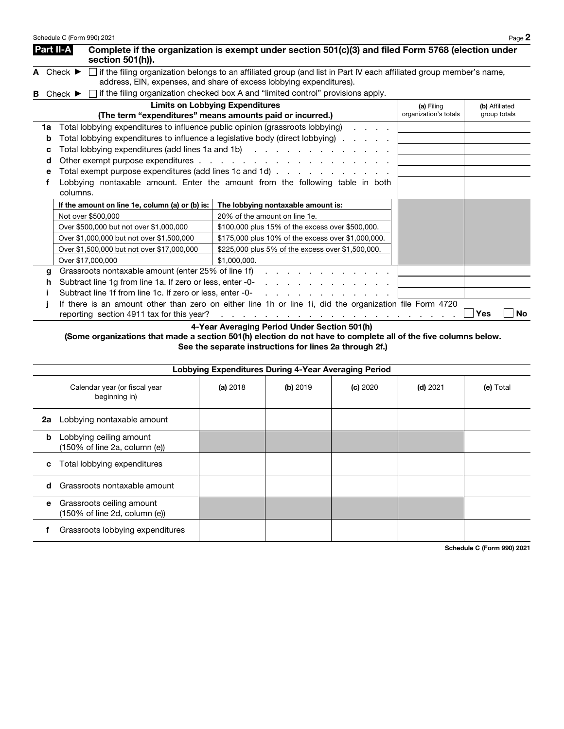|   |                        | Schedule C (Form 990) 2021                                                                |                                                                                                                                                                                                                                                                                                                                          |                                     | Page 2                         |
|---|------------------------|-------------------------------------------------------------------------------------------|------------------------------------------------------------------------------------------------------------------------------------------------------------------------------------------------------------------------------------------------------------------------------------------------------------------------------------------|-------------------------------------|--------------------------------|
|   |                        | Part II-A<br>section 501(h)).                                                             | Complete if the organization is exempt under section 501(c)(3) and filed Form 5768 (election under                                                                                                                                                                                                                                       |                                     |                                |
|   |                        | A Check $\blacktriangleright$                                                             | If the filing organization belongs to an affiliated group (and list in Part IV each affiliated group member's name,<br>address, EIN, expenses, and share of excess lobbying expenditures).                                                                                                                                               |                                     |                                |
| в |                        | Check $\blacktriangleright$                                                               | if the filing organization checked box A and "limited control" provisions apply.                                                                                                                                                                                                                                                         |                                     |                                |
|   |                        |                                                                                           | <b>Limits on Lobbying Expenditures</b><br>(The term "expenditures" means amounts paid or incurred.)                                                                                                                                                                                                                                      | (a) Filing<br>organization's totals | (b) Affiliated<br>group totals |
|   | 1a<br>b<br>с<br>d<br>е | Total lobbying expenditures to influence public opinion (grassroots lobbying)<br>columns. | Total lobbying expenditures to influence a legislative body (direct lobbying)<br>Total lobbying expenditures (add lines 1a and 1b)<br>Total exempt purpose expenditures (add lines 1c and 1d)<br>Lobbying nontaxable amount. Enter the amount from the following table in both                                                           |                                     |                                |
|   |                        | If the amount on line 1e, column (a) or (b) is:                                           | The lobbying nontaxable amount is:                                                                                                                                                                                                                                                                                                       |                                     |                                |
|   |                        | Not over \$500,000                                                                        | 20% of the amount on line 1e.                                                                                                                                                                                                                                                                                                            |                                     |                                |
|   |                        | Over \$500,000 but not over \$1,000,000                                                   | \$100,000 plus 15% of the excess over \$500,000.                                                                                                                                                                                                                                                                                         |                                     |                                |
|   |                        | Over \$1,000,000 but not over \$1,500,000                                                 | \$175,000 plus 10% of the excess over \$1,000,000.                                                                                                                                                                                                                                                                                       |                                     |                                |
|   |                        | Over \$1,500,000 but not over \$17,000,000                                                | \$225,000 plus 5% of the excess over \$1,500,000.                                                                                                                                                                                                                                                                                        |                                     |                                |
|   |                        | Over \$17,000,000                                                                         | \$1,000,000.                                                                                                                                                                                                                                                                                                                             |                                     |                                |
|   | g                      | Grassroots nontaxable amount (enter 25% of line 1f)                                       | and a straight and a straight and                                                                                                                                                                                                                                                                                                        |                                     |                                |
|   | h                      | Subtract line 1g from line 1a. If zero or less, enter -0-                                 | a construction of the construction of the construction of the construction of the construction of the construction of the construction of the construction of the construction of the construction of the construction of the                                                                                                            |                                     |                                |
|   |                        | Subtract line 1f from line 1c. If zero or less, enter -0-                                 | the contract of the contract of the con-                                                                                                                                                                                                                                                                                                 |                                     |                                |
|   |                        | reporting section 4911 tax for this year?                                                 | If there is an amount other than zero on either line 1h or line 1i, did the organization file Form 4720<br>a construction of the construction of the construction of the construction of the construction of the construction of the construction of the construction of the construction of the construction of the construction of the |                                     | Yes<br>No                      |

4-Year Averaging Period Under Section 501(h)

 (Some organizations that made a section 501(h) election do not have to complete all of the five columns below. See the separate instructions for lines 2a through 2f.)

|    | Lobbying Expenditures During 4-Year Averaging Period       |          |          |          |            |           |  |  |
|----|------------------------------------------------------------|----------|----------|----------|------------|-----------|--|--|
|    | Calendar year (or fiscal year<br>beginning in)             | (a) 2018 | (b) 2019 | (c) 2020 | $(d)$ 2021 | (e) Total |  |  |
| 2а | Lobbying nontaxable amount                                 |          |          |          |            |           |  |  |
| b  | Lobbying ceiling amount<br>(150% of line 2a, column (e))   |          |          |          |            |           |  |  |
| C  | Total lobbying expenditures                                |          |          |          |            |           |  |  |
| d  | Grassroots nontaxable amount                               |          |          |          |            |           |  |  |
| е  | Grassroots ceiling amount<br>(150% of line 2d, column (e)) |          |          |          |            |           |  |  |
|    | Grassroots lobbying expenditures                           |          |          |          |            |           |  |  |

Schedule C (Form 990) 2021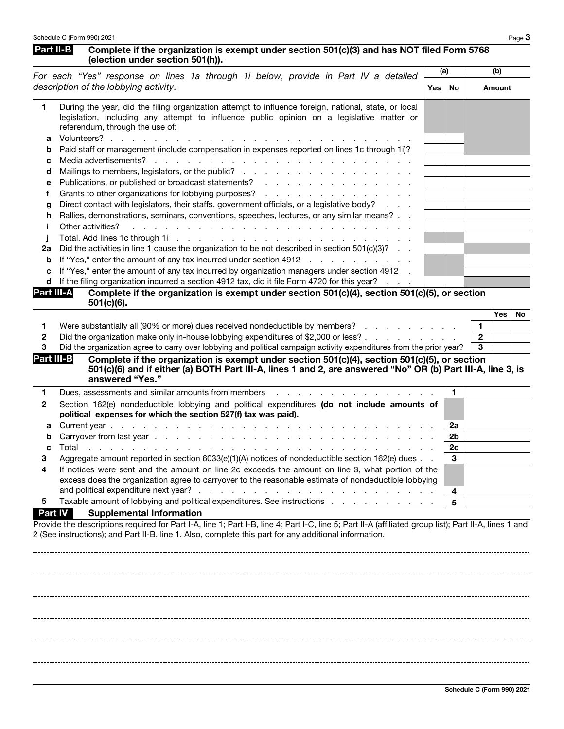|                                                                           | Schedule C (Form 990) 2021                                                                                                                                                                                                                                                                                                                                                                                                                                                                                                                                                                                                                                                                                                                                                                                                                                                                                                                                                                                                                                                               |            |          | Page $3$                                                |
|---------------------------------------------------------------------------|------------------------------------------------------------------------------------------------------------------------------------------------------------------------------------------------------------------------------------------------------------------------------------------------------------------------------------------------------------------------------------------------------------------------------------------------------------------------------------------------------------------------------------------------------------------------------------------------------------------------------------------------------------------------------------------------------------------------------------------------------------------------------------------------------------------------------------------------------------------------------------------------------------------------------------------------------------------------------------------------------------------------------------------------------------------------------------------|------------|----------|---------------------------------------------------------|
| Part II-B                                                                 | Complete if the organization is exempt under section 501(c)(3) and has NOT filed Form 5768<br>(election under section 501(h)).                                                                                                                                                                                                                                                                                                                                                                                                                                                                                                                                                                                                                                                                                                                                                                                                                                                                                                                                                           |            |          |                                                         |
|                                                                           | For each "Yes" response on lines 1a through 1i below, provide in Part IV a detailed                                                                                                                                                                                                                                                                                                                                                                                                                                                                                                                                                                                                                                                                                                                                                                                                                                                                                                                                                                                                      | (a)        |          | (b)                                                     |
|                                                                           | description of the lobbying activity.                                                                                                                                                                                                                                                                                                                                                                                                                                                                                                                                                                                                                                                                                                                                                                                                                                                                                                                                                                                                                                                    | <b>Yes</b> | No       | <b>Amount</b>                                           |
| 1<br>а<br>b<br>с<br>d<br>е<br>f<br>g<br>h<br>Î.<br>Ĵ<br>2a<br>b<br>c<br>d | During the year, did the filing organization attempt to influence foreign, national, state, or local<br>legislation, including any attempt to influence public opinion on a legislative matter or<br>referendum, through the use of:<br>Volunteers?<br>Paid staff or management (include compensation in expenses reported on lines 1c through 1i)?<br>Media advertisements?<br>de la casa de la casa de la casa de la casa de la casa de<br>Grants to other organizations for lobbying purposes?<br>Direct contact with legislators, their staffs, government officials, or a legislative body?<br>Rallies, demonstrations, seminars, conventions, speeches, lectures, or any similar means?<br>Other activities?<br>Did the activities in line 1 cause the organization to be not described in section 501(c)(3)?<br>If "Yes," enter the amount of any tax incurred under section 4912<br>If "Yes," enter the amount of any tax incurred by organization managers under section 4912 .<br>If the filing organization incurred a section 4912 tax, did it file Form 4720 for this year? |            |          |                                                         |
| Part III-A                                                                | Complete if the organization is exempt under section 501(c)(4), section 501(c)(5), or section<br>$501(c)(6)$ .                                                                                                                                                                                                                                                                                                                                                                                                                                                                                                                                                                                                                                                                                                                                                                                                                                                                                                                                                                           |            |          |                                                         |
| 1.<br>2<br>3<br>Part III-B                                                | Were substantially all (90% or more) dues received nondeductible by members?<br>Did the organization make only in-house lobbying expenditures of \$2,000 or less?<br>Did the organization agree to carry over lobbying and political campaign activity expenditures from the prior year?<br>Complete if the organization is exempt under section 501(c)(4), section 501(c)(5), or section<br>501(c)(6) and if either (a) BOTH Part III-A, lines 1 and 2, are answered "No" OR (b) Part III-A, line 3, is<br>answered "Yes."                                                                                                                                                                                                                                                                                                                                                                                                                                                                                                                                                              |            |          | <b>Yes</b><br>No<br>$\blacksquare$<br>$\mathbf{2}$<br>3 |
| 1                                                                         | Dues, assessments and similar amounts from members                                                                                                                                                                                                                                                                                                                                                                                                                                                                                                                                                                                                                                                                                                                                                                                                                                                                                                                                                                                                                                       |            | 1.       |                                                         |
| 2                                                                         | Section 162(e) nondeductible lobbying and political expenditures (do not include amounts of<br>political expenses for which the section 527(f) tax was paid).                                                                                                                                                                                                                                                                                                                                                                                                                                                                                                                                                                                                                                                                                                                                                                                                                                                                                                                            |            |          |                                                         |
| а                                                                         |                                                                                                                                                                                                                                                                                                                                                                                                                                                                                                                                                                                                                                                                                                                                                                                                                                                                                                                                                                                                                                                                                          |            | 2a       |                                                         |
| b                                                                         |                                                                                                                                                                                                                                                                                                                                                                                                                                                                                                                                                                                                                                                                                                                                                                                                                                                                                                                                                                                                                                                                                          |            | 2b<br>2c |                                                         |
| с<br>3                                                                    | Total<br>and the contract of the contract of the contract of the contract of the contract of the contract of the contract of the contract of the contract of the contract of the contract of the contract of the contract of the contra<br>Aggregate amount reported in section 6033(e)(1)(A) notices of nondeductible section 162(e) dues                                                                                                                                                                                                                                                                                                                                                                                                                                                                                                                                                                                                                                                                                                                                               |            | 3        |                                                         |
| 4                                                                         | If notices were sent and the amount on line 2c exceeds the amount on line 3, what portion of the<br>excess does the organization agree to carryover to the reasonable estimate of nondeductible lobbying                                                                                                                                                                                                                                                                                                                                                                                                                                                                                                                                                                                                                                                                                                                                                                                                                                                                                 |            | 4        |                                                         |
| 5                                                                         | Taxable amount of lobbying and political expenditures. See instructions enter all all the set of the set of the                                                                                                                                                                                                                                                                                                                                                                                                                                                                                                                                                                                                                                                                                                                                                                                                                                                                                                                                                                          |            | 5        |                                                         |
| <b>Part IV</b>                                                            | <b>Supplemental Information</b><br>Provide the descriptions required for Part I-A, line 1; Part I-B, line 4; Part I-C, line 5; Part II-A (affiliated group list); Part II-A, lines 1 and<br>2 (See instructions); and Part II-B, line 1. Also, complete this part for any additional information.                                                                                                                                                                                                                                                                                                                                                                                                                                                                                                                                                                                                                                                                                                                                                                                        |            |          |                                                         |
|                                                                           |                                                                                                                                                                                                                                                                                                                                                                                                                                                                                                                                                                                                                                                                                                                                                                                                                                                                                                                                                                                                                                                                                          |            |          |                                                         |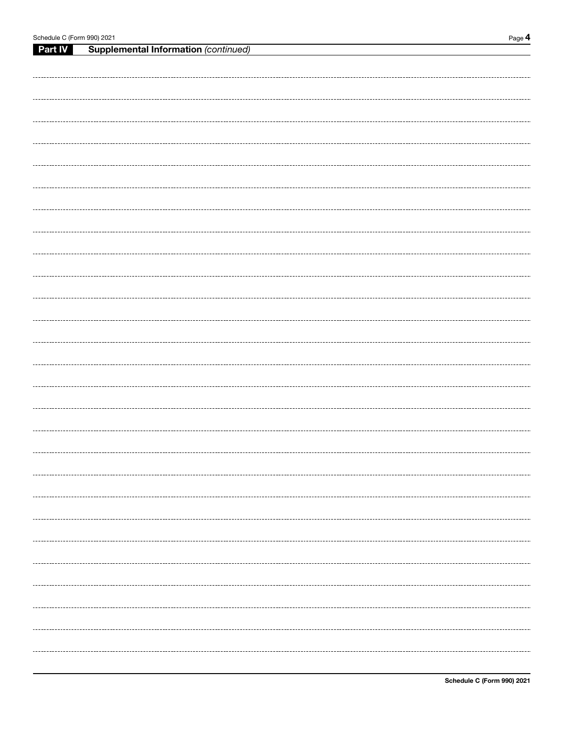|         | Schedule C (Form 990) 2021<br>Page 4        |  |  |  |  |  |
|---------|---------------------------------------------|--|--|--|--|--|
| Part IV | <b>Supplemental Information (continued)</b> |  |  |  |  |  |
|         |                                             |  |  |  |  |  |
|         |                                             |  |  |  |  |  |
|         |                                             |  |  |  |  |  |
|         |                                             |  |  |  |  |  |
|         |                                             |  |  |  |  |  |
|         |                                             |  |  |  |  |  |
|         |                                             |  |  |  |  |  |
|         |                                             |  |  |  |  |  |
|         |                                             |  |  |  |  |  |
|         |                                             |  |  |  |  |  |
|         |                                             |  |  |  |  |  |
|         |                                             |  |  |  |  |  |
|         |                                             |  |  |  |  |  |
|         |                                             |  |  |  |  |  |
|         |                                             |  |  |  |  |  |
|         |                                             |  |  |  |  |  |
|         |                                             |  |  |  |  |  |
|         |                                             |  |  |  |  |  |
|         |                                             |  |  |  |  |  |
|         |                                             |  |  |  |  |  |
|         |                                             |  |  |  |  |  |
|         |                                             |  |  |  |  |  |
|         |                                             |  |  |  |  |  |
|         |                                             |  |  |  |  |  |
|         |                                             |  |  |  |  |  |
|         |                                             |  |  |  |  |  |
|         |                                             |  |  |  |  |  |
|         |                                             |  |  |  |  |  |
|         |                                             |  |  |  |  |  |
|         |                                             |  |  |  |  |  |
|         |                                             |  |  |  |  |  |
|         |                                             |  |  |  |  |  |
|         |                                             |  |  |  |  |  |
|         |                                             |  |  |  |  |  |
|         |                                             |  |  |  |  |  |
|         |                                             |  |  |  |  |  |
|         |                                             |  |  |  |  |  |
|         |                                             |  |  |  |  |  |
|         |                                             |  |  |  |  |  |
|         |                                             |  |  |  |  |  |
|         |                                             |  |  |  |  |  |
|         |                                             |  |  |  |  |  |
|         |                                             |  |  |  |  |  |
|         |                                             |  |  |  |  |  |
|         |                                             |  |  |  |  |  |
|         |                                             |  |  |  |  |  |
|         |                                             |  |  |  |  |  |
|         |                                             |  |  |  |  |  |
|         |                                             |  |  |  |  |  |
|         |                                             |  |  |  |  |  |
|         |                                             |  |  |  |  |  |
|         |                                             |  |  |  |  |  |
|         |                                             |  |  |  |  |  |
|         |                                             |  |  |  |  |  |
|         |                                             |  |  |  |  |  |
|         |                                             |  |  |  |  |  |
|         |                                             |  |  |  |  |  |
|         |                                             |  |  |  |  |  |
|         |                                             |  |  |  |  |  |
|         |                                             |  |  |  |  |  |
|         |                                             |  |  |  |  |  |
|         |                                             |  |  |  |  |  |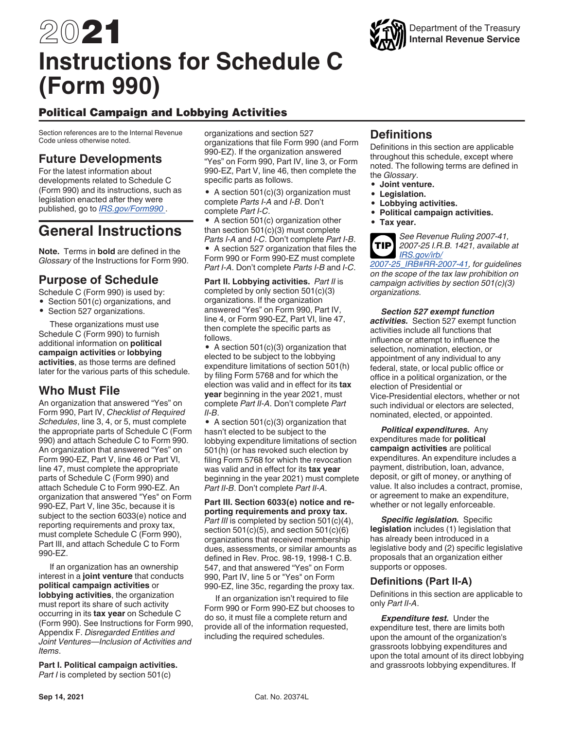# 2021 **Instructions for Schedule C (Form 990)**

# Political Campaign and Lobbying Activities

Section references are to the Internal Revenue Code unless otherwise noted.

## **Future Developments**

For the latest information about developments related to Schedule C (Form 990) and its instructions, such as legislation enacted after they were published, go to *[IRS.gov/Form990](https://www.irs.gov/forms-pubs/about-form-990)* .

# **General Instructions**

**Note.** Terms in **bold** are defined in the *Glossary* of the Instructions for Form 990.

## **Purpose of Schedule**

Schedule C (Form 990) is used by:

• Section 501(c) organizations, and

• Section 527 organizations.

These organizations must use Schedule C (Form 990) to furnish additional information on **political campaign activities** or **lobbying activities**, as those terms are defined later for the various parts of this schedule.

## **Who Must File**

An organization that answered "Yes" on Form 990, Part IV, *Checklist of Required Schedules*, line 3, 4, or 5, must complete the appropriate parts of Schedule C (Form 990) and attach Schedule C to Form 990. An organization that answered "Yes" on Form 990-EZ, Part V, line 46 or Part VI, line 47, must complete the appropriate parts of Schedule C (Form 990) and attach Schedule C to Form 990-EZ. An organization that answered "Yes" on Form 990-EZ, Part V, line 35c, because it is subject to the section 6033(e) notice and reporting requirements and proxy tax, must complete Schedule C (Form 990), Part III, and attach Schedule C to Form 990-EZ.

If an organization has an ownership interest in a **joint venture** that conducts **political campaign activities** or **lobbying activities**, the organization must report its share of such activity occurring in its **tax year** on Schedule C (Form 990). See Instructions for Form 990, Appendix F. *Disregarded Entities and Joint Ventures—Inclusion of Activities and Items*.

**Part I. Political campaign activities.**  *Part I* is completed by section 501(c)

organizations and section 527 organizations that file Form 990 (and Form 990-EZ). If the organization answered "Yes" on Form 990, Part IV, line 3, or Form 990-EZ, Part V, line 46, then complete the specific parts as follows.

• A section 501(c)(3) organization must complete *Parts I-A* and *I-B*. Don't complete *Part I-C*.

• A section 501(c) organization other than section  $501(c)(3)$  must complete *Parts I-A* and *I-C*. Don't complete *Part I-B*.

• A section 527 organization that files the Form 990 or Form 990-EZ must complete *Part I-A*. Don't complete *Parts I-B* and *I-C*.

**Part II. Lobbying activities.** *Part II* is completed by only section 501(c)(3) organizations. If the organization answered "Yes" on Form 990, Part IV, line 4, or Form 990-EZ, Part VI, line 47, then complete the specific parts as follows.

• A section 501(c)(3) organization that elected to be subject to the lobbying expenditure limitations of section 501(h) by filing Form 5768 and for which the election was valid and in effect for its **tax year** beginning in the year 2021, must complete *Part II-A*. Don't complete *Part II-B*.

• A section 501(c)(3) organization that hasn't elected to be subject to the lobbying expenditure limitations of section 501(h) (or has revoked such election by filing Form 5768 for which the revocation was valid and in effect for its **tax year**  beginning in the year 2021) must complete *Part II-B*. Don't complete *Part II-A*.

**Part III. Section 6033(e) notice and reporting requirements and proxy tax.**  *Part III* is completed by section 501(c)(4), section 501(c)(5), and section 501(c)(6) organizations that received membership dues, assessments, or similar amounts as defined in Rev. Proc. 98-19, 1998-1 C.B. 547, and that answered "Yes" on Form 990, Part IV, line 5 or "Yes" on Form 990-EZ, line 35c, regarding the proxy tax.

If an organization isn't required to file Form 990 or Form 990-EZ but chooses to do so, it must file a complete return and provide all of the information requested, including the required schedules.

## **Definitions**

Definitions in this section are applicable throughout this schedule, except where noted. The following terms are defined in the *Glossary*.

- **Joint venture.**
- **Legislation.**
- **Lobbying activities.**
- **Political campaign activities.**
- **Tax year.**

*See Revenue Ruling 2007-41, 2007-25 I.R.B. 1421, available at [IRS.gov/irb/](http://core.publish.no.irs.gov/irb/pdf/wb200725.pdf#page=006) [2007-25\\_IRB#RR-2007-41,](http://core.publish.no.irs.gov/irb/pdf/wb200725.pdf#page=006) for guidelines on the scope of the tax law prohibition on campaign activities by section 501(c)(3) organizations.* **TIP**

*Section 527 exempt function activities.* Section 527 exempt function activities include all functions that influence or attempt to influence the selection, nomination, election, or appointment of any individual to any federal, state, or local public office or office in a political organization, or the election of Presidential or Vice-Presidential electors, whether or not such individual or electors are selected, nominated, elected, or appointed.

*Political expenditures.* Any expenditures made for **political campaign activities** are political expenditures. An expenditure includes a payment, distribution, loan, advance, deposit, or gift of money, or anything of value. It also includes a contract, promise, or agreement to make an expenditure, whether or not legally enforceable.

*Specific legislation.* Specific **legislation** includes (1) legislation that has already been introduced in a legislative body and (2) specific legislative proposals that an organization either supports or opposes.

#### **Definitions (Part II-A)**

Definitions in this section are applicable to only *Part II-A*.

*Expenditure test.* Under the expenditure test, there are limits both upon the amount of the organization's grassroots lobbying expenditures and upon the total amount of its direct lobbying and grassroots lobbying expenditures. If

## Department of the Treasury **Internal Revenue Service**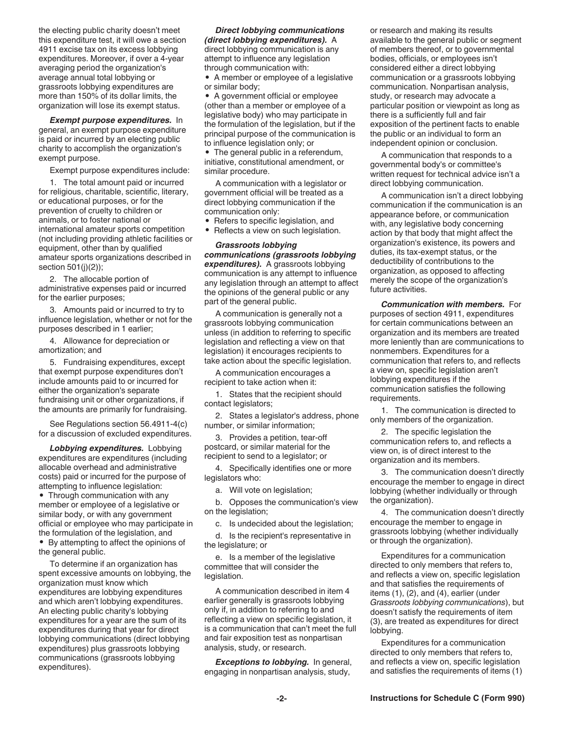the electing public charity doesn't meet this expenditure test, it will owe a section 4911 excise tax on its excess lobbying expenditures. Moreover, if over a 4-year averaging period the organization's average annual total lobbying or grassroots lobbying expenditures are more than 150% of its dollar limits, the organization will lose its exempt status.

*Exempt purpose expenditures.* In general, an exempt purpose expenditure is paid or incurred by an electing public charity to accomplish the organization's exempt purpose.

Exempt purpose expenditures include:

1. The total amount paid or incurred for religious, charitable, scientific, literary, or educational purposes, or for the prevention of cruelty to children or animals, or to foster national or international amateur sports competition (not including providing athletic facilities or equipment, other than by qualified amateur sports organizations described in section 501(j)(2));

2. The allocable portion of administrative expenses paid or incurred for the earlier purposes;

3. Amounts paid or incurred to try to influence legislation, whether or not for the purposes described in 1 earlier;

4. Allowance for depreciation or amortization; and

5. Fundraising expenditures, except that exempt purpose expenditures don't include amounts paid to or incurred for either the organization's separate fundraising unit or other organizations, if the amounts are primarily for fundraising.

See Regulations section 56.4911-4(c) for a discussion of excluded expenditures.

*Lobbying expenditures.* Lobbying expenditures are expenditures (including allocable overhead and administrative costs) paid or incurred for the purpose of attempting to influence legislation:

• Through communication with any member or employee of a legislative or similar body, or with any government official or employee who may participate in the formulation of the legislation, and

• By attempting to affect the opinions of the general public.

To determine if an organization has spent excessive amounts on lobbying, the organization must know which expenditures are lobbying expenditures and which aren't lobbying expenditures. An electing public charity's lobbying expenditures for a year are the sum of its expenditures during that year for direct lobbying communications (direct lobbying expenditures) plus grassroots lobbying communications (grassroots lobbying expenditures).

*Direct lobbying communications (direct lobbying expenditures).* A direct lobbying communication is any attempt to influence any legislation through communication with:

• A member or employee of a legislative or similar body;

• A government official or employee (other than a member or employee of a legislative body) who may participate in the formulation of the legislation, but if the principal purpose of the communication is to influence legislation only; or

• The general public in a referendum, initiative, constitutional amendment, or similar procedure.

A communication with a legislator or government official will be treated as a direct lobbying communication if the communication only:

- Refers to specific legislation, and
- Reflects a view on such legislation.

*Grassroots lobbying communications (grassroots lobbying expenditures).* A grassroots lobbying communication is any attempt to influence any legislation through an attempt to affect the opinions of the general public or any part of the general public.

A communication is generally not a grassroots lobbying communication unless (in addition to referring to specific legislation and reflecting a view on that legislation) it encourages recipients to take action about the specific legislation.

A communication encourages a recipient to take action when it:

1. States that the recipient should contact legislators;

2. States a legislator's address, phone number, or similar information;

3. Provides a petition, tear-off postcard, or similar material for the recipient to send to a legislator; or

4. Specifically identifies one or more legislators who:

a. Will vote on legislation;

b. Opposes the communication's view on the legislation;

c. Is undecided about the legislation;

d. Is the recipient's representative in the legislature; or

e. Is a member of the legislative committee that will consider the legislation.

A communication described in item 4 earlier generally is grassroots lobbying only if, in addition to referring to and reflecting a view on specific legislation, it is a communication that can't meet the full and fair exposition test as nonpartisan analysis, study, or research.

*Exceptions to lobbying.* In general, engaging in nonpartisan analysis, study,

or research and making its results available to the general public or segment of members thereof, or to governmental bodies, officials, or employees isn't considered either a direct lobbying communication or a grassroots lobbying communication. Nonpartisan analysis, study, or research may advocate a particular position or viewpoint as long as there is a sufficiently full and fair exposition of the pertinent facts to enable the public or an individual to form an independent opinion or conclusion.

A communication that responds to a governmental body's or committee's written request for technical advice isn't a direct lobbying communication.

A communication isn't a direct lobbying communication if the communication is an appearance before, or communication with, any legislative body concerning action by that body that might affect the organization's existence, its powers and duties, its tax-exempt status, or the deductibility of contributions to the organization, as opposed to affecting merely the scope of the organization's future activities.

*Communication with members.* For purposes of section 4911, expenditures for certain communications between an organization and its members are treated more leniently than are communications to nonmembers. Expenditures for a communication that refers to, and reflects a view on, specific legislation aren't lobbying expenditures if the communication satisfies the following requirements.

1. The communication is directed to only members of the organization.

2. The specific legislation the communication refers to, and reflects a view on, is of direct interest to the organization and its members.

3. The communication doesn't directly encourage the member to engage in direct lobbying (whether individually or through the organization).

4. The communication doesn't directly encourage the member to engage in grassroots lobbying (whether individually or through the organization).

Expenditures for a communication directed to only members that refers to, and reflects a view on, specific legislation and that satisfies the requirements of items (1), (2), and (4), earlier (under *Grassroots lobbying communications*), but doesn't satisfy the requirements of item (3), are treated as expenditures for direct lobbying.

Expenditures for a communication directed to only members that refers to, and reflects a view on, specific legislation and satisfies the requirements of items (1)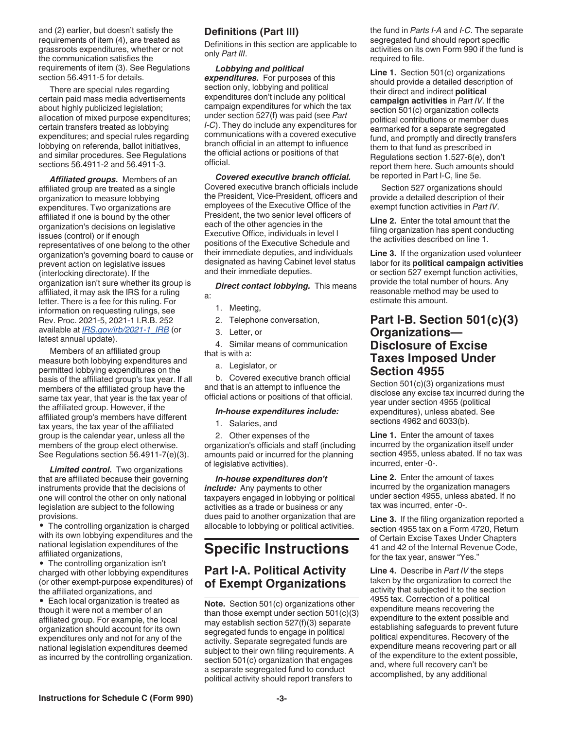and (2) earlier, but doesn't satisfy the requirements of item (4), are treated as grassroots expenditures, whether or not the communication satisfies the requirements of item (3). See Regulations section 56.4911-5 for details.

There are special rules regarding certain paid mass media advertisements about highly publicized legislation; allocation of mixed purpose expenditures; certain transfers treated as lobbying expenditures; and special rules regarding lobbying on referenda, ballot initiatives, and similar procedures. See Regulations sections 56.4911-2 and 56.4911-3.

*Affiliated groups.* Members of an affiliated group are treated as a single organization to measure lobbying expenditures. Two organizations are affiliated if one is bound by the other organization's decisions on legislative issues (control) or if enough representatives of one belong to the other organization's governing board to cause or prevent action on legislative issues (interlocking directorate). If the organization isn't sure whether its group is affiliated, it may ask the IRS for a ruling letter. There is a fee for this ruling. For information on requesting rulings, see Rev. Proc. 2021-5, 2021-1 I.R.B. 252 available at *[IRS.gov/irb/2021-1\\_IRB](http://core.publish.no.irs.gov/irb/pdf/wb202101.pdf#page=252)* (or latest annual update).

Members of an affiliated group measure both lobbying expenditures and permitted lobbying expenditures on the basis of the affiliated group's tax year. If all members of the affiliated group have the same tax year, that year is the tax year of the affiliated group. However, if the affiliated group's members have different tax years, the tax year of the affiliated group is the calendar year, unless all the members of the group elect otherwise. See Regulations section 56.4911-7(e)(3).

*Limited control.* Two organizations that are affiliated because their governing instruments provide that the decisions of one will control the other on only national legislation are subject to the following provisions.

• The controlling organization is charged with its own lobbying expenditures and the national legislation expenditures of the affiliated organizations,

• The controlling organization isn't charged with other lobbying expenditures (or other exempt-purpose expenditures) of the affiliated organizations, and

• Each local organization is treated as though it were not a member of an affiliated group. For example, the local organization should account for its own expenditures only and not for any of the national legislation expenditures deemed as incurred by the controlling organization.

#### **Definitions (Part III)**

Definitions in this section are applicable to only *Part III*.

*Lobbying and political expenditures.* For purposes of this section only, lobbying and political expenditures don't include any political campaign expenditures for which the tax under section 527(f) was paid (see *Part I-C*). They do include any expenditures for communications with a covered executive branch official in an attempt to influence the official actions or positions of that official.

*Covered executive branch official.*  Covered executive branch officials include the President, Vice-President, officers and employees of the Executive Office of the President, the two senior level officers of each of the other agencies in the Executive Office, individuals in level I positions of the Executive Schedule and their immediate deputies, and individuals designated as having Cabinet level status and their immediate deputies.

*Direct contact lobbying.* This means a:

- 1. Meeting,
- 2. Telephone conversation,
- 3. Letter, or

4. Similar means of communication that is with a:

a. Legislator, or

b. Covered executive branch official and that is an attempt to influence the official actions or positions of that official.

#### *In-house expenditures include:*

1. Salaries, and

2. Other expenses of the organization's officials and staff (including amounts paid or incurred for the planning of legislative activities).

*In-house expenditures don't include:* Any payments to other taxpayers engaged in lobbying or political activities as a trade or business or any dues paid to another organization that are allocable to lobbying or political activities.

# **Specific Instructions**

## **Part I-A. Political Activity of Exempt Organizations**

**Note.** Section 501(c) organizations other than those exempt under section 501(c)(3) may establish section 527(f)(3) separate segregated funds to engage in political activity. Separate segregated funds are subject to their own filing requirements. A section 501(c) organization that engages a separate segregated fund to conduct political activity should report transfers to

the fund in *Parts I-A* and *I-C*. The separate segregated fund should report specific activities on its own Form 990 if the fund is required to file.

**Line 1.** Section 501(c) organizations should provide a detailed description of their direct and indirect **political campaign activities** in *Part IV*. If the section 501(c) organization collects political contributions or member dues earmarked for a separate segregated fund, and promptly and directly transfers them to that fund as prescribed in Regulations section 1.527-6(e), don't report them here. Such amounts should be reported in Part I-C, line 5e.

Section 527 organizations should provide a detailed description of their exempt function activities in *Part IV*.

**Line 2.** Enter the total amount that the filing organization has spent conducting the activities described on line 1.

**Line 3.** If the organization used volunteer labor for its **political campaign activities**  or section 527 exempt function activities, provide the total number of hours. Any reasonable method may be used to estimate this amount.

### **Part I-B. Section 501(c)(3) Organizations— Disclosure of Excise Taxes Imposed Under Section 4955**

Section 501(c)(3) organizations must disclose any excise tax incurred during the year under section 4955 (political expenditures), unless abated. See sections 4962 and 6033(b).

**Line 1.** Enter the amount of taxes incurred by the organization itself under section 4955, unless abated. If no tax was incurred, enter -0-.

**Line 2.** Enter the amount of taxes incurred by the organization managers under section 4955, unless abated. If no tax was incurred, enter -0-.

**Line 3.** If the filing organization reported a section 4955 tax on a Form 4720, Return of Certain Excise Taxes Under Chapters 41 and 42 of the Internal Revenue Code, for the tax year, answer "Yes."

**Line 4.** Describe in *Part IV* the steps taken by the organization to correct the activity that subjected it to the section 4955 tax. Correction of a political expenditure means recovering the expenditure to the extent possible and establishing safeguards to prevent future political expenditures. Recovery of the expenditure means recovering part or all of the expenditure to the extent possible, and, where full recovery can't be accomplished, by any additional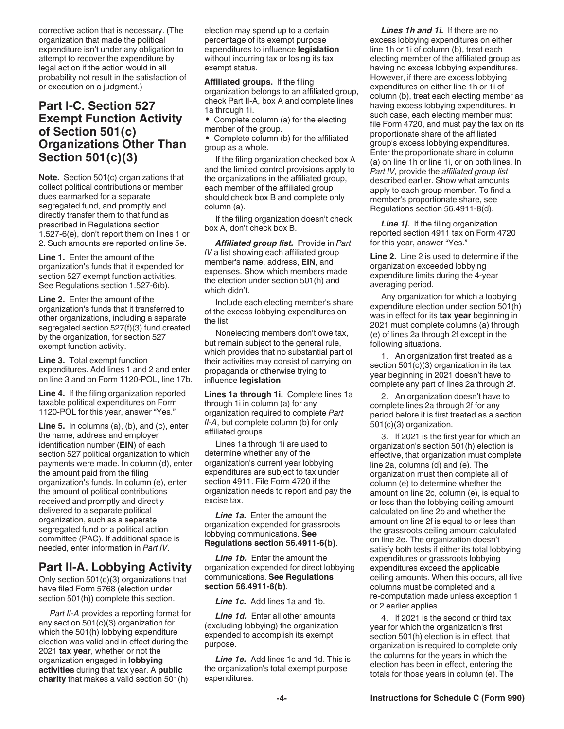corrective action that is necessary. (The organization that made the political expenditure isn't under any obligation to attempt to recover the expenditure by legal action if the action would in all probability not result in the satisfaction of or execution on a judgment.)

## **Part I-C. Section 527 Exempt Function Activity of Section 501(c) Organizations Other Than Section 501(c)(3)**

**Note.** Section 501(c) organizations that collect political contributions or member dues earmarked for a separate segregated fund, and promptly and directly transfer them to that fund as prescribed in Regulations section 1.527-6(e), don't report them on lines 1 or 2. Such amounts are reported on line 5e.

**Line 1.** Enter the amount of the organization's funds that it expended for section 527 exempt function activities. See Regulations section 1.527-6(b).

**Line 2.** Enter the amount of the organization's funds that it transferred to other organizations, including a separate segregated section 527(f)(3) fund created by the organization, for section 527 exempt function activity.

**Line 3.** Total exempt function expenditures. Add lines 1 and 2 and enter on line 3 and on Form 1120-POL, line 17b.

**Line 4.** If the filing organization reported taxable political expenditures on Form 1120-POL for this year, answer "Yes."

**Line 5.** In columns (a), (b), and (c), enter the name, address and employer identification number (**EIN**) of each section 527 political organization to which payments were made. In column (d), enter the amount paid from the filing organization's funds. In column (e), enter the amount of political contributions received and promptly and directly delivered to a separate political organization, such as a separate segregated fund or a political action committee (PAC). If additional space is needed, enter information in *Part IV*.

## **Part II-A. Lobbying Activity**

Only section 501(c)(3) organizations that have filed Form 5768 (election under section 501(h)) complete this section.

*Part II-A* provides a reporting format for any section 501(c)(3) organization for which the 501(h) lobbying expenditure election was valid and in effect during the 2021 **tax year**, whether or not the organization engaged in **lobbying activities** during that tax year. A **public charity** that makes a valid section 501(h)

election may spend up to a certain percentage of its exempt purpose expenditures to influence **legislation**  without incurring tax or losing its tax exempt status.

**Affiliated groups.** If the filing organization belongs to an affiliated group, check Part II-A, box A and complete lines 1a through 1i.

• Complete column (a) for the electing member of the group.

• Complete column (b) for the affiliated group as a whole.

If the filing organization checked box A and the limited control provisions apply to the organizations in the affiliated group, each member of the affiliated group should check box B and complete only column (a).

If the filing organization doesn't check box A, don't check box B.

*Affiliated group list.* Provide in *Part IV* a list showing each affiliated group member's name, address, **EIN**, and expenses. Show which members made the election under section 501(h) and which didn't.

Include each electing member's share of the excess lobbying expenditures on the list.

Nonelecting members don't owe tax, but remain subject to the general rule, which provides that no substantial part of their activities may consist of carrying on propaganda or otherwise trying to influence **legislation**.

**Lines 1a through 1i.** Complete lines 1a through 1i in column (a) for any organization required to complete *Part II-A*, but complete column (b) for only affiliated groups.

Lines 1a through 1i are used to determine whether any of the organization's current year lobbying expenditures are subject to tax under section 4911. File Form 4720 if the organization needs to report and pay the excise tax.

*Line 1a.* Enter the amount the organization expended for grassroots lobbying communications. **See Regulations section 56.4911-6(b)**.

*Line 1b.* Enter the amount the organization expended for direct lobbying communications. **See Regulations section 56.4911-6(b)**.

*Line 1c.* Add lines 1a and 1b.

**Line 1d.** Enter all other amounts (excluding lobbying) the organization expended to accomplish its exempt purpose.

*Line 1e.* Add lines 1c and 1d. This is the organization's total exempt purpose expenditures.

*Lines 1h and 1i.* If there are no excess lobbying expenditures on either line 1h or 1i of column (b), treat each electing member of the affiliated group as having no excess lobbying expenditures. However, if there are excess lobbying expenditures on either line 1h or 1i of column (b), treat each electing member as having excess lobbying expenditures. In such case, each electing member must file Form 4720, and must pay the tax on its proportionate share of the affiliated group's excess lobbying expenditures. Enter the proportionate share in column (a) on line 1h or line 1i, or on both lines. In *Part IV*, provide the *affiliated group list*  described earlier. Show what amounts apply to each group member. To find a member's proportionate share, see Regulations section 56.4911-8(d).

**Line 1***j*. If the filing organization reported section 4911 tax on Form 4720 for this year, answer "Yes."

**Line 2.** Line 2 is used to determine if the organization exceeded lobbying expenditure limits during the 4-year averaging period.

Any organization for which a lobbying expenditure election under section 501(h) was in effect for its **tax year** beginning in 2021 must complete columns (a) through (e) of lines 2a through 2f except in the following situations.

1. An organization first treated as a section 501(c)(3) organization in its tax year beginning in 2021 doesn't have to complete any part of lines 2a through 2f.

2. An organization doesn't have to complete lines 2a through 2f for any period before it is first treated as a section 501(c)(3) organization.

3. If 2021 is the first year for which an organization's section 501(h) election is effective, that organization must complete line 2a, columns (d) and (e). The organization must then complete all of column (e) to determine whether the amount on line 2c, column (e), is equal to or less than the lobbying ceiling amount calculated on line 2b and whether the amount on line 2f is equal to or less than the grassroots ceiling amount calculated on line 2e. The organization doesn't satisfy both tests if either its total lobbying expenditures or grassroots lobbying expenditures exceed the applicable ceiling amounts. When this occurs, all five columns must be completed and a re-computation made unless exception 1 or 2 earlier applies.

4. If 2021 is the second or third tax year for which the organization's first section 501(h) election is in effect, that organization is required to complete only the columns for the years in which the election has been in effect, entering the totals for those years in column (e). The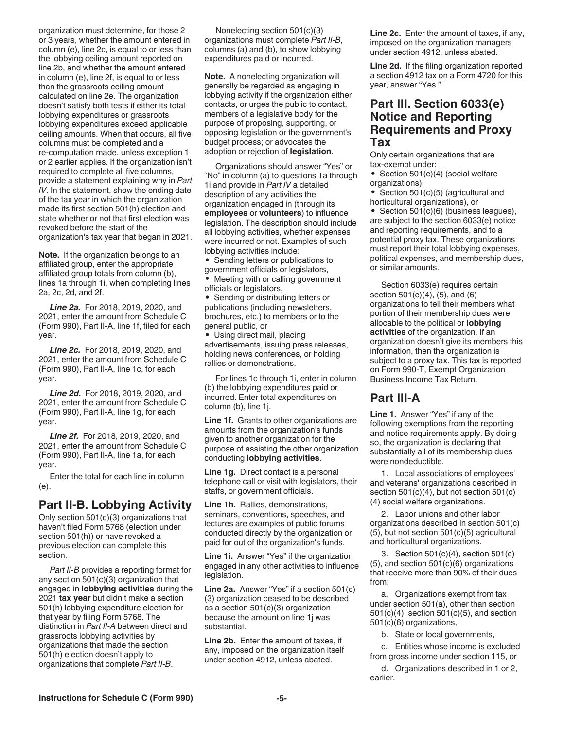organization must determine, for those 2 or 3 years, whether the amount entered in column (e), line 2c, is equal to or less than the lobbying ceiling amount reported on line 2b, and whether the amount entered in column (e), line 2f, is equal to or less than the grassroots ceiling amount calculated on line 2e. The organization doesn't satisfy both tests if either its total lobbying expenditures or grassroots lobbying expenditures exceed applicable ceiling amounts. When that occurs, all five columns must be completed and a re-computation made, unless exception 1 or 2 earlier applies. If the organization isn't required to complete all five columns, provide a statement explaining why in *Part IV*. In the statement, show the ending date of the tax year in which the organization made its first section 501(h) election and state whether or not that first election was revoked before the start of the organization's tax year that began in 2021.

**Note.** If the organization belongs to an affiliated group, enter the appropriate affiliated group totals from column (b), lines 1a through 1i, when completing lines 2a, 2c, 2d, and 2f.

*Line 2a.* For 2018, 2019, 2020, and 2021, enter the amount from Schedule C (Form 990), Part II-A, line 1f, filed for each year.

*Line 2c.* For 2018, 2019, 2020, and 2021, enter the amount from Schedule C (Form 990), Part II-A, line 1c, for each year.

*Line 2d.* For 2018, 2019, 2020, and 2021, enter the amount from Schedule C (Form 990), Part II-A, line 1g, for each year.

*Line 2f.* For 2018, 2019, 2020, and 2021, enter the amount from Schedule C (Form 990), Part II-A, line 1a, for each year.

Enter the total for each line in column (e).

#### **Part II-B. Lobbying Activity**

Only section 501(c)(3) organizations that haven't filed Form 5768 (election under section 501(h)) or have revoked a previous election can complete this section.

*Part II-B* provides a reporting format for any section 501(c)(3) organization that engaged in **lobbying activities** during the 2021 **tax year** but didn't make a section 501(h) lobbying expenditure election for that year by filing Form 5768. The distinction in *Part II-A* between direct and grassroots lobbying activities by organizations that made the section 501(h) election doesn't apply to organizations that complete *Part II-B*.

Nonelecting section 501(c)(3) organizations must complete *Part II-B*, columns (a) and (b), to show lobbying expenditures paid or incurred.

**Note.** A nonelecting organization will generally be regarded as engaging in lobbying activity if the organization either contacts, or urges the public to contact, members of a legislative body for the purpose of proposing, supporting, or opposing legislation or the government's budget process; or advocates the adoption or rejection of **legislation**.

Organizations should answer "Yes" or "No" in column (a) to questions 1a through 1i and provide in *Part IV* a detailed description of any activities the organization engaged in (through its **employees** or **volunteers**) to influence legislation. The description should include all lobbying activities, whether expenses were incurred or not. Examples of such lobbying activities include:

• Sending letters or publications to government officials or legislators,

• Meeting with or calling government officials or legislators,

• Sending or distributing letters or publications (including newsletters, brochures, etc.) to members or to the general public, or

• Using direct mail, placing advertisements, issuing press releases, holding news conferences, or holding rallies or demonstrations.

For lines 1c through 1i, enter in column (b) the lobbying expenditures paid or incurred. Enter total expenditures on column (b), line 1j.

**Line 1f.** Grants to other organizations are amounts from the organization's funds given to another organization for the purpose of assisting the other organization conducting **lobbying activities**.

**Line 1g.** Direct contact is a personal telephone call or visit with legislators, their staffs, or government officials.

**Line 1h.** Rallies, demonstrations, seminars, conventions, speeches, and lectures are examples of public forums conducted directly by the organization or paid for out of the organization's funds.

**Line 1i.** Answer "Yes" if the organization engaged in any other activities to influence legislation.

**Line 2a.** Answer "Yes" if a section 501(c) (3) organization ceased to be described as a section 501(c)(3) organization because the amount on line 1j was substantial.

**Line 2b.** Enter the amount of taxes, if any, imposed on the organization itself under section 4912, unless abated.

**Line 2c.** Enter the amount of taxes, if any, imposed on the organization managers under section 4912, unless abated.

**Line 2d.** If the filing organization reported a section 4912 tax on a Form 4720 for this year, answer "Yes."

### **Part III. Section 6033(e) Notice and Reporting Requirements and Proxy Tax**

Only certain organizations that are tax-exempt under:

• Section 501(c)(4) (social welfare organizations),

• Section 501(c)(5) (agricultural and horticultural organizations), or

• Section 501(c)(6) (business leagues), are subject to the section 6033(e) notice and reporting requirements, and to a potential proxy tax. These organizations must report their total lobbying expenses, political expenses, and membership dues, or similar amounts.

Section 6033(e) requires certain section 501(c)(4), (5), and (6) organizations to tell their members what portion of their membership dues were allocable to the political or **lobbying activities** of the organization. If an organization doesn't give its members this information, then the organization is subject to a proxy tax. This tax is reported on Form 990-T, Exempt Organization Business Income Tax Return.

#### **Part III-A**

**Line 1.** Answer "Yes" if any of the following exemptions from the reporting and notice requirements apply. By doing so, the organization is declaring that substantially all of its membership dues were nondeductible.

1. Local associations of employees' and veterans' organizations described in section 501(c)(4), but not section 501(c) (4) social welfare organizations.

2. Labor unions and other labor organizations described in section 501(c) (5), but not section 501(c)(5) agricultural and horticultural organizations.

3. Section 501(c)(4), section 501(c) (5), and section 501(c)(6) organizations that receive more than 90% of their dues from:

a. Organizations exempt from tax under section 501(a), other than section 501(c)(4), section 501(c)(5), and section 501(c)(6) organizations,

b. State or local governments,

c. Entities whose income is excluded from gross income under section 115, or

d. Organizations described in 1 or 2, earlier.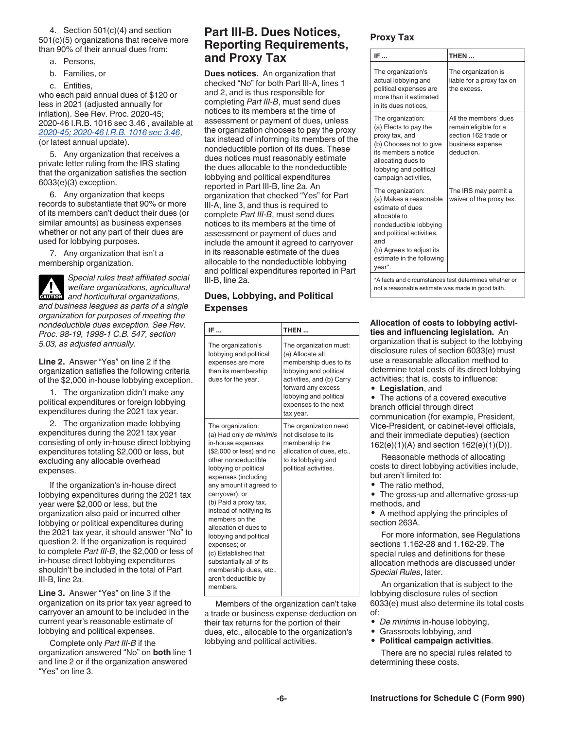4. Section 501(c)(4) and section 501(c)(5) organizations that receive more than 90% of their annual dues from:

- a. Persons,
- b. Families, or
- c. Entities,

who each paid annual dues of \$120 or less in 2021 (adjusted annually for inflation). See Rev. Proc. 2020-45; 2020-46 I.R.B. 1016 sec 3.46 , available at *[2020-45; 2020-46 I.R.B. 1016 sec 3.46](http://core.publish.no.irs.gov/irb/pdf/wb202046.pdf#page=019)*, (or latest annual update).

5. Any organization that receives a private letter ruling from the IRS stating that the organization satisfies the section 6033(e)(3) exception.

6. Any organization that keeps records to substantiate that 90% or more of its members can't deduct their dues (or similar amounts) as business expenses whether or not any part of their dues are used for lobbying purposes.

7. Any organization that isn't a membership organization.

*Special rules treat affiliated social welfare organizations, agricultural and horticultural organizations, and business leagues as parts of a single organization for purposes of meeting the nondeductible dues exception. See Rev. Proc. 98-19, 1998-1 C.B. 547, section 5.03, as adjusted annually.* **ALL**<br>CAUTION

**Line 2.** Answer "Yes" on line 2 if the organization satisfies the following criteria of the \$2,000 in-house lobbying exception.

1. The organization didn't make any political expenditures or foreign lobbying expenditures during the 2021 tax year.

2. The organization made lobbying expenditures during the 2021 tax year consisting of only in-house direct lobbying expenditures totaling \$2,000 or less, but excluding any allocable overhead expenses.

If the organization's in-house direct lobbying expenditures during the 2021 tax year were \$2,000 or less, but the organization also paid or incurred other lobbying or political expenditures during the 2021 tax year, it should answer "No" to question 2. If the organization is required to complete *Part III-B*, the \$2,000 or less of in-house direct lobbying expenditures shouldn't be included in the total of Part III-B, line 2a.

**Line 3.** Answer "Yes" on line 3 if the organization on its prior tax year agreed to carryover an amount to be included in the current year's reasonable estimate of lobbying and political expenses.

Complete only *Part III-B* if the organization answered "No" on **both** line 1 and line 2 or if the organization answered "Yes" on line 3.

## **Part III-B. Dues Notices, Reporting Requirements, and Proxy Tax**

**Dues notices.** An organization that checked "No" for both Part III-A, lines 1 and 2, and is thus responsible for completing *Part III-B*, must send dues notices to its members at the time of assessment or payment of dues, unless the organization chooses to pay the proxy tax instead of informing its members of the nondeductible portion of its dues. These dues notices must reasonably estimate the dues allocable to the nondeductible lobbying and political expenditures reported in Part III-B, line 2a. An organization that checked "Yes" for Part III-A, line 3, and thus is required to complete *Part III-B*, must send dues notices to its members at the time of assessment or payment of dues and include the amount it agreed to carryover in its reasonable estimate of the dues allocable to the nondeductible lobbying and political expenditures reported in Part III-B, line 2a.

#### **Dues, Lobbying, and Political Expenses**

| IF                                                                                                                                                                                                                                                                                                                                                                                                                                                                            | THEN                                                                                                                                                                                                             |
|-------------------------------------------------------------------------------------------------------------------------------------------------------------------------------------------------------------------------------------------------------------------------------------------------------------------------------------------------------------------------------------------------------------------------------------------------------------------------------|------------------------------------------------------------------------------------------------------------------------------------------------------------------------------------------------------------------|
| The organization's<br>lobbying and political<br>expenses are more<br>than its membership<br>dues for the year,                                                                                                                                                                                                                                                                                                                                                                | The organization must:<br>(a) Allocate all<br>membership dues to its<br>lobbying and political<br>activities, and (b) Carry<br>forward any excess<br>lobbying and political<br>expenses to the next<br>tax year. |
| The organization:<br>(a) Had only de minimis<br>in-house expenses<br>(\$2,000 or less) and no<br>other nondeductible<br>lobbying or political<br>expenses (including<br>any amount it agreed to<br>carryover); or<br>(b) Paid a proxy tax,<br>instead of notifying its<br>members on the<br>allocation of dues to<br>lobbying and political<br>expenses; or<br>(c) Established that<br>substantially all of its<br>membership dues, etc.,<br>aren't deductible by<br>members. | The organization need<br>not disclose to its<br>membership the<br>allocation of dues, etc.,<br>to its lobbying and<br>political activities.                                                                      |

Members of the organization can't take a trade or business expense deduction on their tax returns for the portion of their dues, etc., allocable to the organization's lobbying and political activities.

#### **Proxy Tax**

| IF                                                                                                                                                                                                               | THEN                                                                                                     |
|------------------------------------------------------------------------------------------------------------------------------------------------------------------------------------------------------------------|----------------------------------------------------------------------------------------------------------|
| The organization's<br>actual lobbying and<br>political expenses are<br>more than it estimated<br>in its dues notices,                                                                                            | The organization is<br>liable for a proxy tax on<br>the excess.                                          |
| The organization:<br>(a) Elects to pay the<br>proxy tax, and<br>(b) Chooses not to give<br>its members a notice<br>allocating dues to<br>lobbying and political<br>campaign activities,                          | All the members' dues<br>remain eligible for a<br>section 162 trade or<br>business expense<br>deduction. |
| The organization:<br>(a) Makes a reasonable<br>estimate of dues<br>allocable to<br>nondeductible lobbying<br>and political activities,<br>and<br>(b) Agrees to adjust its<br>estimate in the following<br>vear*. | The IRS may permit a<br>waiver of the proxy tax.                                                         |
| *A facts and circumstances test determines whether or                                                                                                                                                            |                                                                                                          |

not a reasonable estimate was made in good faith.

**Allocation of costs to lobbying activities and influencing legislation.** An organization that is subject to the lobbying disclosure rules of section 6033(e) must

use a reasonable allocation method to determine total costs of its direct lobbying activities; that is, costs to influence:

• **Legislation**, and

• The actions of a covered executive branch official through direct communication (for example, President, Vice-President, or cabinet-level officials, and their immediate deputies) (section 162(e)(1)(A) and section 162(e)(1)(D)).

Reasonable methods of allocating costs to direct lobbying activities include, but aren't limited to:

• The ratio method,

• The gross-up and alternative gross-up methods, and

• A method applying the principles of section 263A.

For more information, see Regulations sections 1.162-28 and 1.162-29. The special rules and definitions for these allocation methods are discussed under *Special Rules*, later.

An organization that is subject to the lobbying disclosure rules of section 6033(e) must also determine its total costs of:

- *De minimis* in-house lobbying,
- Grassroots lobbying, and
- **Political campaign activities**.

There are no special rules related to determining these costs.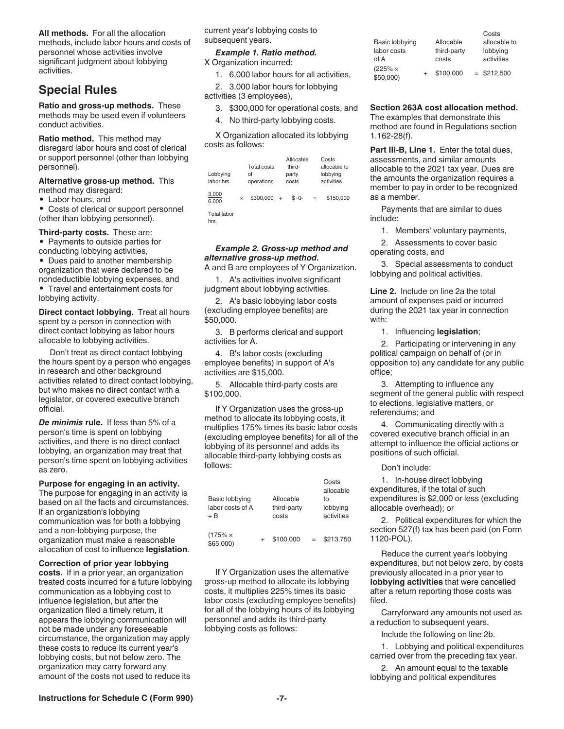**All methods.** For all the allocation methods, include labor hours and costs of personnel whose activities involve significant judgment about lobbying activities.

## **Special Rules**

**Ratio and gross-up methods.** These methods may be used even if volunteers conduct activities.

**Ratio method.** This method may disregard labor hours and cost of clerical or support personnel (other than lobbying personnel).

**Alternative gross-up method.** This method may disregard:

• Labor hours, and

• Costs of clerical or support personnel (other than lobbying personnel).

**Third-party costs.** These are: • Payments to outside parties for conducting lobbying activities,

• Dues paid to another membership organization that were declared to be nondeductible lobbying expenses, and • Travel and entertainment costs for lobbying activity.

**Direct contact lobbying.** Treat all hours spent by a person in connection with direct contact lobbying as labor hours allocable to lobbying activities.

Don't treat as direct contact lobbying the hours spent by a person who engages in research and other background activities related to direct contact lobbying, but who makes no direct contact with a legislator, or covered executive branch official.

*De minimis* **rule.** If less than 5% of a person's time is spent on lobbying activities, and there is no direct contact lobbying, an organization may treat that person's time spent on lobbying activities as zero.

**Purpose for engaging in an activity.** 

The purpose for engaging in an activity is based on all the facts and circumstances. If an organization's lobbying communication was for both a lobbying and a non-lobbying purpose, the organization must make a reasonable allocation of cost to influence **legislation**.

#### **Correction of prior year lobbying**

**costs.** If in a prior year, an organization treated costs incurred for a future lobbying communication as a lobbying cost to influence legislation, but after the organization filed a timely return, it appears the lobbying communication will not be made under any foreseeable circumstance, the organization may apply these costs to reduce its current year's lobbying costs, but not below zero. The organization may carry forward any amount of the costs not used to reduce its

current year's lobbying costs to subsequent years.

*Example 1. Ratio method.*  X Organization incurred:

1. 6,000 labor hours for all activities,

2. 3,000 labor hours for lobbying activities (3 employees),

3. \$300,000 for operational costs, and

4. No third-party lobbying costs.

X Organization allocated its lobbying costs as follows:

| Lobbying<br>labor hrs.             |          | Total costs<br>οf<br>operations |           | Allocable<br>third-<br>party<br>costs |     | Costs<br>allocable to<br>lobbying<br>activities |
|------------------------------------|----------|---------------------------------|-----------|---------------------------------------|-----|-------------------------------------------------|
| 3,000<br>6.000                     | $\times$ | \$300,000                       | $\ddot{}$ | $$ -0-$                               | $=$ | \$150,000                                       |
| <b>Total labor</b><br>$\mathbf{r}$ |          |                                 |           |                                       |     |                                                 |

hrs.

#### *Example 2. Gross-up method and alternative gross-up method.*

A and B are employees of Y Organization.

1. A's activities involve significant judgment about lobbying activities.

2. A's basic lobbying labor costs (excluding employee benefits) are \$50,000.

3. B performs clerical and support activities for A.

4. B's labor costs (excluding employee benefits) in support of A's activities are \$15,000.

5. Allocable third-party costs are \$100,000.

If Y Organization uses the gross-up method to allocate its lobbying costs, it multiplies 175% times its basic labor costs (excluding employee benefits) for all of the lobbying of its personnel and adds its allocable third-party lobbying costs as follows:

| Basic lobbying<br>labor costs of A<br>+ B |  | Allocable<br>third-party<br>costs |  | Costs<br>allocable<br>to<br>lobbying<br>activities |
|-------------------------------------------|--|-----------------------------------|--|----------------------------------------------------|
| $(175\% \times$<br>\$65,000)              |  | \$100.000                         |  | \$213.750                                          |

If Y Organization uses the alternative gross-up method to allocate its lobbying costs, it multiplies 225% times its basic labor costs (excluding employee benefits) for all of the lobbying hours of its lobbying personnel and adds its third-party lobbying costs as follows:

|                              |             | Costs         |
|------------------------------|-------------|---------------|
| Basic lobbying               | Allocable   | allocable to  |
| labor costs                  | third-party | lobbying      |
| of A                         | costs       | activities    |
| $(225\% \times$<br>\$50,000) | \$100,000   | $=$ \$212,500 |

#### **Section 263A cost allocation method.**

The examples that demonstrate this method are found in Regulations section 1.162-28(f).

Part III-B, Line 1. Enter the total dues, assessments, and similar amounts allocable to the 2021 tax year. Dues are the amounts the organization requires a member to pay in order to be recognized as a member.

Payments that are similar to dues include:

1. Members' voluntary payments,

2. Assessments to cover basic operating costs, and

3. Special assessments to conduct lobbying and political activities.

**Line 2.** Include on line 2a the total amount of expenses paid or incurred during the 2021 tax year in connection with:

1. Influencing **legislation**;

2. Participating or intervening in any political campaign on behalf of (or in opposition to) any candidate for any public office;

3. Attempting to influence any segment of the general public with respect to elections, legislative matters, or referendums; and

4. Communicating directly with a covered executive branch official in an attempt to influence the official actions or positions of such official.

#### Don't include:

1. In-house direct lobbying expenditures, if the total of such expenditures is \$2,000 or less (excluding allocable overhead); or

2. Political expenditures for which the section 527(f) tax has been paid (on Form 1120-POL).

Reduce the current year's lobbying expenditures, but not below zero, by costs previously allocated in a prior year to **lobbying activities** that were cancelled after a return reporting those costs was filed.

Carryforward any amounts not used as a reduction to subsequent years.

Include the following on line 2b.

1. Lobbying and political expenditures carried over from the preceding tax year.

2. An amount equal to the taxable lobbying and political expenditures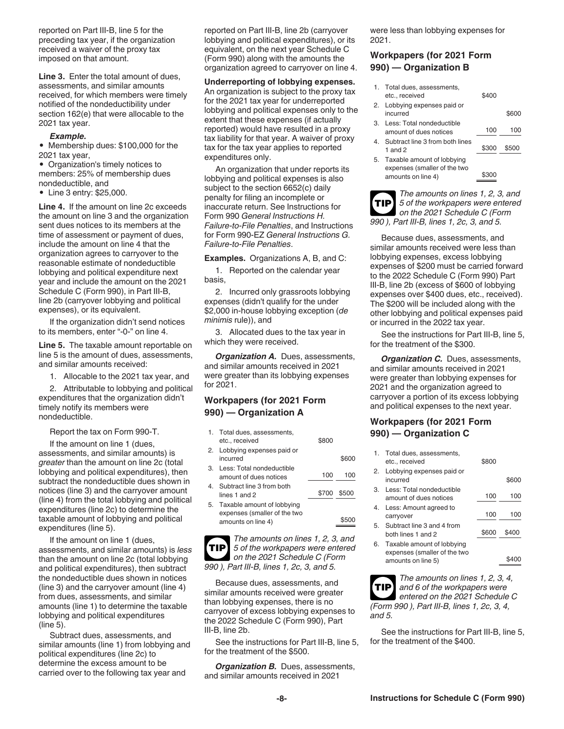reported on Part III-B, line 5 for the preceding tax year, if the organization received a waiver of the proxy tax imposed on that amount.

**Line 3.** Enter the total amount of dues, assessments, and similar amounts received, for which members were timely notified of the nondeductibility under section 162(e) that were allocable to the 2021 tax year.

#### *Example.*

• Membership dues: \$100,000 for the 2021 tax year,

• Organization's timely notices to members: 25% of membership dues nondeductible, and

• Line 3 entry: \$25,000.

**Line 4.** If the amount on line 2c exceeds the amount on line 3 and the organization sent dues notices to its members at the time of assessment or payment of dues, include the amount on line 4 that the organization agrees to carryover to the reasonable estimate of nondeductible lobbying and political expenditure next year and include the amount on the 2021 Schedule C (Form 990), in Part III-B, line 2b (carryover lobbying and political expenses), or its equivalent.

If the organization didn't send notices to its members, enter "-0-" on line 4.

**Line 5.** The taxable amount reportable on line 5 is the amount of dues, assessments, and similar amounts received:

1. Allocable to the 2021 tax year, and

2. Attributable to lobbying and political expenditures that the organization didn't timely notify its members were nondeductible.

Report the tax on Form 990-T.

If the amount on line 1 (dues, assessments, and similar amounts) is *greater* than the amount on line 2c (total lobbying and political expenditures), then subtract the nondeductible dues shown in notices (line 3) and the carryover amount (line 4) from the total lobbying and political expenditures (line 2c) to determine the taxable amount of lobbying and political expenditures (line 5).

If the amount on line 1 (dues, assessments, and similar amounts) is *less*  than the amount on line 2c (total lobbying and political expenditures), then subtract the nondeductible dues shown in notices (line 3) and the carryover amount (line 4) from dues, assessments, and similar amounts (line 1) to determine the taxable lobbying and political expenditures (line 5).

Subtract dues, assessments, and similar amounts (line 1) from lobbying and political expenditures (line 2c) to determine the excess amount to be carried over to the following tax year and

reported on Part III-B, line 2b (carryover lobbying and political expenditures), or its equivalent, on the next year Schedule C (Form 990) along with the amounts the organization agreed to carryover on line 4.

#### **Underreporting of lobbying expenses.**

An organization is subject to the proxy tax for the 2021 tax year for underreported lobbying and political expenses only to the extent that these expenses (if actually reported) would have resulted in a proxy tax liability for that year. A waiver of proxy tax for the tax year applies to reported expenditures only.

An organization that under reports its lobbying and political expenses is also subject to the section 6652(c) daily penalty for filing an incomplete or inaccurate return. See Instructions for Form 990 *General Instructions H. Failure-to-File Penalties*, and Instructions for Form 990-EZ *General Instructions G. Failure-to-File Penalties*.

**Examples.** Organizations A, B, and C:

1. Reported on the calendar year basis,

2. Incurred only grassroots lobbying expenses (didn't qualify for the under \$2,000 in-house lobbying exception (*de minimis* rule)), and

3. Allocated dues to the tax year in which they were received.

*Organization A. Dues, assessments,* and similar amounts received in 2021 were greater than its lobbying expenses for 2021.

#### **Workpapers (for 2021 Form 990) — Organization A**

| 1. Total dues, assessments,<br>etc., received                                       | \$800 |       |
|-------------------------------------------------------------------------------------|-------|-------|
| 2. Lobbying expenses paid or<br>incurred                                            |       | \$600 |
| 3. Less: Total nondeductible<br>amount of dues notices                              | 100   | 100   |
| 4. Subtract line 3 from both<br>lines 1 and $2$                                     | \$700 | \$500 |
| 5. Taxable amount of lobbying<br>expenses (smaller of the two<br>amounts on line 4) |       |       |

*The amounts on lines 1, 2, 3, and 5 of the workpapers were entered on the 2021 Schedule C (Form 990 ), Part III-B, lines 1, 2c, 3, and 5.* **TIP**

Because dues, assessments, and similar amounts received were greater than lobbying expenses, there is no carryover of excess lobbying expenses to the 2022 Schedule C (Form 990), Part III-B, line 2b.

See the instructions for Part III-B, line 5, for the treatment of the \$500.

*Organization B.* Dues, assessments, and similar amounts received in 2021

were less than lobbying expenses for 2021.

#### **Workpapers (for 2021 Form 990) — Organization B**

|    | 1. Total dues, assessments,<br>etc., received                                    | \$400 |       |
|----|----------------------------------------------------------------------------------|-------|-------|
|    | 2. Lobbying expenses paid or<br>incurred                                         |       | \$600 |
| З. | Less: Total nondeductible<br>amount of dues notices                              | 100   | 100   |
| 4. | Subtract line 3 from both lines<br>1 and $2$                                     | \$300 | \$500 |
| 5. | Taxable amount of lobbying<br>expenses (smaller of the two<br>amounts on line 4) |       |       |

**TIP**

*The amounts on lines 1, 2, 3, and 5 of the workpapers were entered on the 2021 Schedule C (Form 990 ), Part III-B, lines 1, 2c, 3, and 5.*

Because dues, assessments, and similar amounts received were less than lobbying expenses, excess lobbying expenses of \$200 must be carried forward to the 2022 Schedule C (Form 990) Part III-B, line 2b (excess of \$600 of lobbying expenses over \$400 dues, etc., received). The \$200 will be included along with the other lobbying and political expenses paid or incurred in the 2022 tax year.

See the instructions for Part III-B, line 5, for the treatment of the \$300.

**Organization C.** Dues, assessments, and similar amounts received in 2021 were greater than lobbying expenses for 2021 and the organization agreed to carryover a portion of its excess lobbying and political expenses to the next year.

#### **Workpapers (for 2021 Form 990) — Organization C**

|    | 1. Total dues, assessments,<br>etc., received              | \$800 |       |
|----|------------------------------------------------------------|-------|-------|
| 2. | Lobbying expenses paid or<br>incurred                      |       | \$600 |
| З. | Less: Total nondeductible<br>amount of dues notices        | 100   | 100   |
| 4. | Less: Amount agreed to<br>carryover                        | 100   | 100   |
| 5. | Subtract line 3 and 4 from<br>hoth lines 1 and 2           | \$600 | \$400 |
| 6. | Taxable amount of lobbying<br>expenses (smaller of the two |       |       |
|    | amounts on line 5)                                         |       |       |

*The amounts on lines 1, 2, 3, 4, and 6 of the workpapers were entered on the 2021 Schedule C (Form 990 ), Part III-B, lines 1, 2c, 3, 4, and 5.* **TIP**

See the instructions for Part III-B, line 5, for the treatment of the \$400.